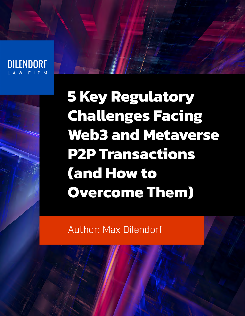**DILENDORF** 

**5 Key Regulatory Challenges Facing Web3 and Metaverse P2P Transactions (and How to Overcome Them)**

Author: Max Dilendorf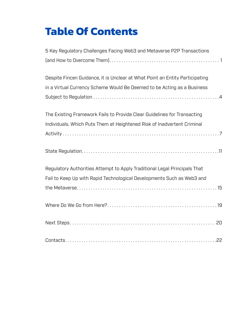## **Table Of Contents**

| 5 Key Regulatory Challenges Facing Web3 and Metaverse P2P Transactions       |
|------------------------------------------------------------------------------|
|                                                                              |
| Despite Fincen Guidance, it is Unclear at What Point an Entity Participating |
| in a Virtual Currency Scheme Would Be Deemed to be Acting as a Business      |
|                                                                              |
| The Existing Framework Fails to Provide Clear Guidelines for Transacting     |
| Individuals, Which Puts Them at Heightened Risk of Inadvertent Criminal      |
|                                                                              |
|                                                                              |
| Regulatory Authorities Attempt to Apply Traditional Legal Principals That    |
| Fail to Keep Up with Rapid Technological Developments Such as Web3 and       |
|                                                                              |
|                                                                              |
|                                                                              |
|                                                                              |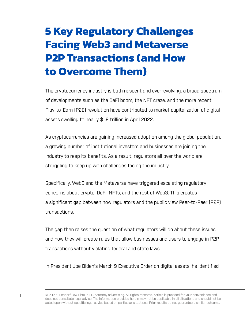## <span id="page-2-0"></span>**5 Key Regulatory Challenges Facing Web3 and Metaverse P2P Transactions (and How to Overcome Them)**

The cryptocurrency industry is both nascent and ever-evolving. a broad spectrum of developments such as the DeFi boom, the NFT craze, and the more recent Play-to-Earn (P2E) revolution have contributed to market capitalization of digital assets swelling to nearly \$1.9 trillion in April 2022.

As cryptocurrencies are gaining increased adoption among the global population, a growing number of institutional investors and businesses are joining the industry to reap its benefits. As a result, regulators all over the world are struggling to keep up with challenges facing the industry.

Specifically, Web3 and the Metaverse have triggered escalating regulatory concerns about crypto, DeFi, NFTs, and the rest of Web3. This creates a significant gap between how regulators and the public view Peer-to-Peer (P2P) transactions.

The gap then raises the question of what regulators will do about these issues and how they will create rules that allow businesses and users to engage in P2P transactions without violating federal and state laws.

In President Joe Biden's March 9 Executive Order on digital assets, he identified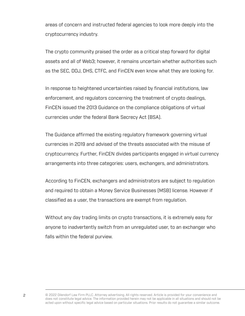areas of concern and instructed federal agencies to look more deeply into the cryptocurrency industry.

The crypto community praised the order as a critical step forward for digital assets and all of Web3; however, it remains uncertain whether authorities such as the SEC, DOJ, DHS, CTFC, and FinCEN even know what they are looking for.

In response to heightened uncertainties raised by financial institutions, law enforcement, and regulators concerning the treatment of crypto dealings, FinCEN issued the 2013 Guidance on the compliance obligations of virtual currencies under the federal Bank Secrecy Act (BSA).

The Guidance affirmed the existing regulatory framework governing virtual currencies in 2019 and advised of the threats associated with the misuse of cryptocurrency. Further, FinCEN divides participants engaged in virtual currency arrangements into three categories: users, exchangers, and administrators.

According to FinCEN, exchangers and administrators are subject to regulation and required to obtain a Money Service Businesses (MSB) license. However if classified as a user, the transactions are exempt from regulation.

Without any day trading limits on crypto transactions, it is extremely easy for anyone to inadvertently switch from an unregulated user, to an exchanger who falls within the federal purview.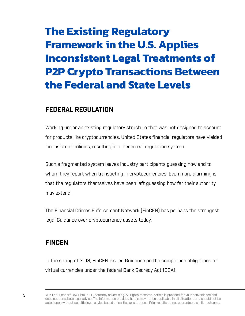# **The Existing Regulatory Framework in the U.S. Applies Inconsistent Legal Treatments of P2P Crypto Transactions Between the Federal and State Levels**

### **FEDERAL REGULATION**

Working under an existing regulatory structure that was not designed to account for products like cryptocurrencies, United States financial regulators have yielded inconsistent policies, resulting in a piecemeal regulation system.

Such a fragmented system leaves industry participants guessing how and to whom they report when transacting in cryptocurrencies. Even more alarming is that the regulators themselves have been left guessing how far their authority may extend.

The Financial Crimes Enforcement Network (FinCEN) has perhaps the strongest legal Guidance over cryptocurrency assets today.

#### **FINCEN**

In the spring of 2013, FinCEN issued Guidance on the compliance obligations of virtual currencies under the federal Bank Secrecy Act (BSA).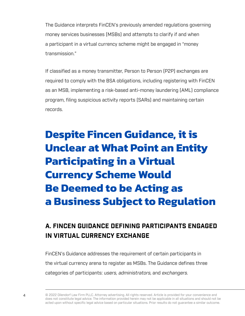<span id="page-5-0"></span>The Guidance interprets FinCEN's previously amended regulations governing money services businesses (MSBs) and attempts to clarify if and when a participant in a virtual currency scheme might be engaged in "money transmission."

If classified as a money transmitter, Person to Person (P2P) exchanges are required to comply with the BSA obligations, including registering with FinCEN as an MSB, implementing a risk-based anti-money laundering (AML) compliance program, filing suspicious activity reports (SARs) and maintaining certain records.

# **Despite Fincen Guidance, it is Unclear at What Point an Entity Participating in a Virtual Currency Scheme Would Be Deemed to be Acting as a Business Subject to Regulation**

### **A. FINCEN GUIDANCE DEFINING PARTICIPANTS ENGAGED IN VIRTUAL CURRENCY EXCHANGE**

FinCEN's Guidance addresses the requirement of certain participants in the virtual currency arena to register as MSBs. The Guidance defines three categories of participants: users, administrators, and exchangers.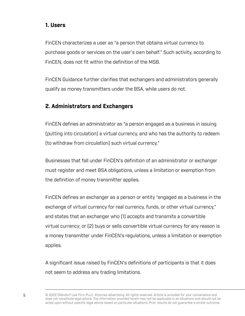#### **1. Users**

FinCEN characterizes a user as "a person that obtains virtual currency to purchase goods or services on the user's own behalf." Such activity, according to FinCEN, does not fit within the definition of the MSB.

FinCEN Guidance further clarifies that exchangers and administrators generally qualify as money transmitters under the BSA, while users do not.

#### **2. Administrators and Exchangers**

FinCEN defines an administrator as "a person engaged as a business in issuing (putting into circulation) a virtual currency, and who has the authority to redeem (to withdraw from circulation) such virtual currency."

Businesses that fall under FinCEN's definition of an administrator or exchanger must register and meet BSA obligations, unless a limitation or exemption from the definition of money transmitter applies.

FinCEN defines an exchanger as a person or entity "engaged as a business in the exchange of virtual currency for real currency, funds, or other virtual currency," and states that an exchanger who (1) accepts and transmits a convertible virtual currency; or (2) buys or sells convertible virtual currency for any reason is a money transmitter under FinCEN's regulations, unless a limitation or exemption applies.

A significant issue raised by FinCEN's definitions of participants is that it does not seem to address any trading limitations.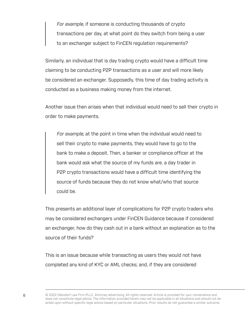For example, if someone is conducting thousands of crypto transactions per day, at what point do they switch from being a user to an exchanger subject to FinCEN regulation requirements?

Similarly, an individual that is day trading crypto would have a difficult time claiming to be conducting P2P transactions as a user and will more likely be considered an exchanger. Supposedly, this time of day trading activity is conducted as a business making money from the internet.

Another issue then arises when that individual would need to sell their crypto in order to make payments.

For example, at the point in time when the individual would need to sell their crypto to make payments, they would have to go to the bank to make a deposit. Then, a banker or compliance officer at the bank would ask what the source of my funds are. a day trader in P2P crypto transactions would have a difficult time identifying the source of funds because they do not know what/who that source could be.

This presents an additional layer of complications for P2P crypto traders who may be considered exchangers under FinCEN Guidance because if considered an exchanger, how do they cash out in a bank without an explanation as to the source of their funds?

This is an issue because while transacting as users they would not have completed any kind of KYC or AML checks; and, if they are considered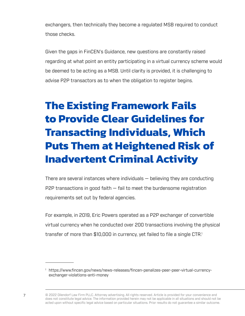<span id="page-8-0"></span>exchangers, then technically they become a regulated MSB required to conduct those checks.

Given the gaps in FinCEN's Guidance, new questions are constantly raised regarding at what point an entity participating in a virtual currency scheme would be deemed to be acting as a MSB. Until clarity is provided, it is challenging to advise P2P transactors as to when the obligation to register begins.

# **The Existing Framework Fails to Provide Clear Guidelines for Transacting Individuals, Which Puts Them at Heightened Risk of Inadvertent Criminal Activity**

There are several instances where individuals — believing they are conducting P2P transactions in good faith  $-$  fail to meet the burdensome registration requirements set out by federal agencies.

For example, in 2019, Eric Powers operated as a P2P exchanger of convertible virtual currency when he conducted over 200 transactions involving the physical transfer of more than \$10,000 in currency, yet failed to file a single CTR.<sup>1</sup>

<sup>1</sup> https://www.fincen.gov/news/news-releases/fincen-penalizes-peer-peer-virtual-currencyexchanger-violations-anti-money

<sup>7</sup> © 2022 Dilendorf Law Firm PLLC. Attorney advertising. All rights reserved. Article is provided for your convenience and does not constitute legal advice. The information provided herein may not be applicable in all situations and should not be acted upon without specific legal advice based on particular situations. Prior results do not guarantee a similar outcome.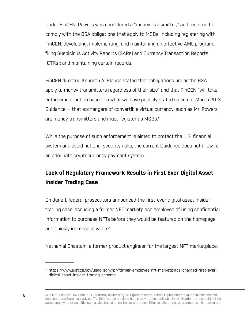Under FinCEN, Powers was considered a "money transmitter," and required to comply with the BSA obligations that apply to MSBs, including registering with FinCEN; developing, implementing, and maintaining an effective AML program; filing Suspicious Activity Reports (SARs) and Currency Transaction Reports (CTRs); and maintaining certain records.

FinCEN director, Kenneth A. Blanco stated that "obligations under the BSA apply to money transmitters regardless of their size" and that FinCEN "will take enforcement action based on what we have publicly stated since our March 2013 Guidance — that exchangers of convertible virtual currency, such as Mr. Powers, are money transmitters and must register as MSBs."

While the purpose of such enforcement is aimed to protect the U.S. financial system and avoid national security risks, the current Guidance does not allow for an adequate cryptocurrency payment system.

### **Lack of Regulatory Framework Results in First Ever Digital Asset Insider Trading Case**

On June 1, federal prosecutors announced the first-ever digital asset insider trading case, accusing a former NFT marketplace employee of using confidential information to purchase NFTs before they would be featured on the homepage and quickly increase in value. 2

Nathanial Chastain, a former product engineer for the largest NFT marketplace,

<sup>2</sup> https://www.justice.gov/usao-sdny/pr/former-employee-nft-marketplace-charged-first-everdigital-asset-insider-trading-scheme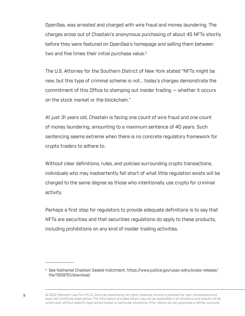OpenSea, was arrested and charged with wire fraud and money laundering. The charges arose out of Chastain's anonymous purchasing of about 45 NFTs shortly before they were featured on OpenSea's homepage and selling them between two and five times their initial purchase value.<sup>3</sup>

The U.S. Attorney for the Southern District of New York stated "NFTs might be new, but this type of criminal scheme is not… today's charges demonstrate the commitment of this Office to stamping out insider trading — whether it occurs on the stock market or the blockchain."

At just 31 years old, Chastain is facing one count of wire fraud and one count of money laundering, amounting to a maximum sentence of 40 years. Such sentencing seems extreme when there is no concrete regulatory framework for crypto traders to adhere to.

Without clear definitions, rules, and policies surrounding crypto transactions, individuals who may inadvertently fall short of what little regulation exists will be charged to the same degree as those who intentionally use crypto for criminal activity.

Perhaps a first step for regulators to provide adequate definitions is to say that NFTs are securities and that securities regulations do apply to these products, including prohibitions on any kind of insider trading activities.

<sup>&</sup>lt;sup>3</sup> See Nathanial Chastain Sealed Indictment, https://www.justice.gov/usao-sdny/press-release/ file/1509701/download

<sup>9</sup> © 2022 Dilendorf Law Firm PLLC. Attorney advertising. All rights reserved. Article is provided for your convenience and does not constitute legal advice. The information provided herein may not be applicable in all situations and should not be acted upon without specific legal advice based on particular situations. Prior results do not guarantee a similar outcome.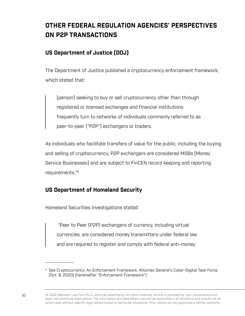### **OTHER FEDERAL REGULATION AGENCIES' PERSPECTIVES ON P2P TRANSACTIONS**

#### **US Department of Justice (DOJ)**

The Department of Justice published a cryptocurrency enforcement framework, which stated that:

[person] seeking to buy or sell cryptocurrency other than through registered or licensed exchanges and financial institutions frequently turn to networks of individuals commonly referred to as peer-to-peer ("P2P") exchangers or traders.

As individuals who facilitate transfers of value for the public, including the buying and selling of cryptocurrency, P2P exchangers are considered MSBs [Money Service Businesses] and are subject to FinCEN record keeping and reporting requirements." 4

#### **US Department of Homeland Security**

Homeland Securities Investigations stated:

 "Peer to Peer (P2P) exchangers of currency, including virtual currencies, are considered money transmitters under federal law and are required to register and comply with federal anti-money

<sup>4</sup> See Cryptocurrency: An Enforcement Framework, Attorney General's Cyber-Digital Task Force, (Oct. 8, 2020) (hereinafter "Enforcement Framework")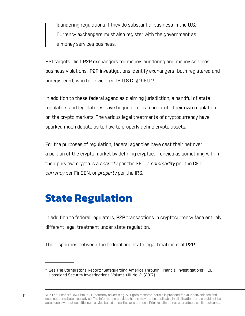<span id="page-12-0"></span>laundering regulations if they do substantial business in the U.S. Currency exchangers must also register with the government as a money services business.

HSI targets illicit P2P exchangers for money laundering and money services business violations…P2P investigations identify exchangers (both registered and unregistered) who have violated 18 U.S.C. § 1960."5

In addition to these federal agencies claiming jurisdiction, a handful of state regulators and legislatures have begun efforts to institute their own regulation on the crypto markets. The various legal treatments of cryptocurrency have sparked much debate as to how to properly define crypto assets.

For the purposes of regulation, federal agencies have cast their net over a portion of the crypto market by defining cryptocurrencies as something within their purview: crypto is a security per the SEC, a commodity per the CFTC, currency per FinCEN, or property per the IRS.

## **State Regulation**

In addition to federal regulators, P2P transactions in cryptocurrency face entirely different legal treatment under state regulation.

The disparities between the federal and state legal treatment of P2P

<sup>5</sup> See The Cornerstone Report: "Safeguarding America Through Financial Investigations", ICE Homeland Security Investigations, Volume XIII No. 2, (2017).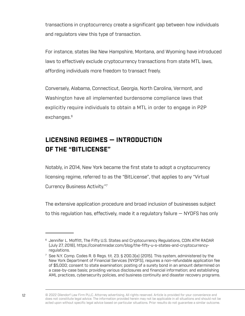transactions in cryptocurrency create a significant gap between how individuals and regulators view this type of transaction.

For instance, states like New Hampshire, Montana, and Wyoming have introduced laws to effectively exclude cryptocurrency transactions from state MTL laws, affording individuals more freedom to transact freely.

Conversely, Alabama, Connecticut, Georgia, North Carolina, Vermont, and Washington have all implemented burdensome compliance laws that explicitly require individuals to obtain a MTL in order to engage in P2P exchanges. 6

### **LICENSING REGIMES — INTRODUCTION OF THE "BITLICENSE"**

Notably, in 2014, New York became the first state to adopt a cryptocurrency licensing regime, referred to as the "BitLicense", that applies to any "Virtual Currency Business Activity."7

The extensive application procedure and broad inclusion of businesses subject to this regulation has, effectively, made it a regulatory failure — NYDFS has only

<sup>&</sup>lt;sup>6</sup> Jennifer L. Moffitt, The Fifty U.S. States and Cryptocurrency Regulations, COIN ATM RADAR (July 27, 2018), https://coinatmradar.com/blog/the-fifty-u-s-states-and-cryptocurrencyregulations.

<sup>7</sup> See N.Y. Comp. Codes R. & Regs. tit. 23. § 200.3(a) (2015). This system, administered by the New York Department of Financial Services (NYDFS), requires a non-refundable application fee of \$5,000; consent to state examination; posting of a surety bond in an amount determined on a case-by-case basis; providing various disclosures and financial information; and establishing AML practices, cybersecurity policies, and business continuity and disaster recovery programs.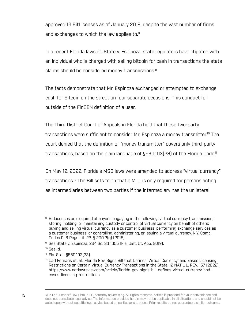approved 16 BitLicenses as of January 2019, despite the vast number of firms and exchanges to which the law applies to. 8

In a recent Florida lawsuit, State v. Espinoza, state regulators have litigated with an individual who is charged with selling bitcoin for cash in transactions the state claims should be considered money transmissions. 9

The facts demonstrate that Mr. Espinoza exchanged or attempted to exchange cash for Bitcoin on the street on four separate occasions. This conduct fell outside of the FinCEN definition of a user.

The Third District Court of Appeals in Florida held that these two-party transactions were sufficient to consider Mr. Espinoza a money transmitter.<sup>10</sup> The court denied that the definition of "money transmitter" covers only third-party transactions, based on the plain language of §560.103(23) of the Florida Code. 11

On May 12, 2022, Florida's MSB laws were amended to address "virtual currency" transactions. 12 The Bill sets forth that a MTL is only required for persons acting as intermediaries between two parties if the intermediary has the unilateral

<sup>&</sup>lt;sup>8</sup> BitLicenses are required of anyone engaging in the following: virtual currency transmission; storing, holding, or maintaining custody or control of virtual currency on behalf of others; buying and selling virtual currency as a customer business; performing exchange services as a customer business; or controlling, administering, or issuing a virtual currency. N.Y. Comp. Codes R. & Regs. tit. 23. § 200.2(q) (2015).

<sup>&</sup>lt;sup>9</sup> See State v. Espinoza, 264 So. 3d 1055 (Fla. Dist. Ct. App. 2019).

 $h$ l aa $2$ <sup> $0$ t</sup>

<sup>11</sup> Fla. Stat. §560.103(23).

<sup>&</sup>lt;sup>12</sup> Carl Fornaris et. al., Florida Gov. Signs Bill that Defines 'Virtual Currency' and Eases Licensing Restrictions on Certain Virtual Currency Transactions in the State, 12 NAT'L L. REV. 157 (2022), https://www.natlawreview.com/article/florida-gov-signs-bill-defines-virtual-currency-andeases-licensing-restrictions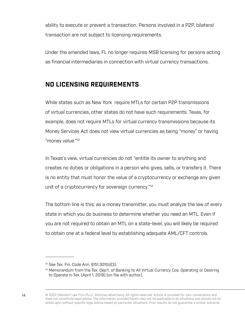ability to execute or prevent a transaction. Persons involved in a P2P, bilateral transaction are not subject to licensing requirements.

Under the amended laws, FL no longer requires MSB licensing for persons acting as financial intermediaries in connection with virtual currency transactions.

#### **NO LICENSING REQUIREMENTS**

While states such as New York require MTLs for certain P2P transmissions of virtual currencies, other states do not have such requirements. Texas, for example, does not require MTLs for virtual currency transmissions because its Money Services Act does not view virtual currencies as being "money" or having "money value."13

In Texas's view, virtual currencies do not "entitle its owner to anything and creates no duties or obligations in a person who gives, sells, or transfers it. There is no entity that must honor the value of a cryptocurrency or exchange any given unit of a cryptocurrency for sovereign currency."<sup>14</sup>

The bottom line is this: as a money transmitter, you must analyze the law of every state in which you do business to determine whether you need an MTL. Even if you are not required to obtain an MTL on a state-level, you will likely be required to obtain one at a federal level by establishing adequate AML/CFT controls.

<sup>13</sup> See Tex. Fin. Code Ann. §151.301(b)(3).

<sup>&</sup>lt;sup>14</sup> Memorandum from the Tex. Dep't. of Banking to All Virtual Currency Cos. Operating or Desiring to Operate in Tex. (April 1, 2019) (on file with author).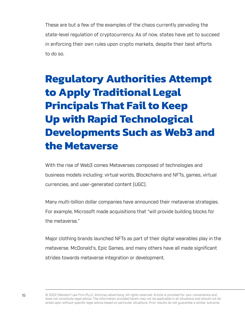<span id="page-16-0"></span>These are but a few of the examples of the chaos currently pervading the state-level regulation of cryptocurrency. As of now, states have yet to succeed in enforcing their own rules upon crypto markets, despite their best efforts to do so.

# **Regulatory Authorities Attempt to Apply Traditional Legal Principals That Fail to Keep Up with Rapid Technological Developments Such as Web3 and the Metaverse**

With the rise of Web3 comes Metaverses composed of technologies and business models including: virtual worlds, Blockchains and NFTs, games, virtual currencies, and user-generated content (UGC).

Many multi-billion dollar companies have announced their metaverse strategies. For example, Microsoft made acquisitions that "will provide building blocks for the metaverse."

Major clothing brands launched NFTs as part of their digital wearables play in the metaverse. McDonald's, Epic Games, and many others have all made significant strides towards metaverse integration or development.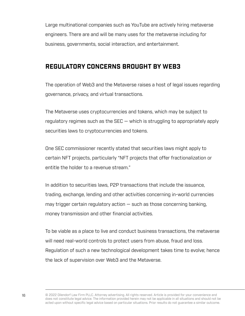Large multinational companies such as YouTube are actively hiring metaverse engineers. There are and will be many uses for the metaverse including for business, governments, social interaction, and entertainment.

#### **REGULATORY CONCERNS BROUGHT BY WEB3**

The operation of Web3 and the Metaverse raises a host of legal issues regarding governance, privacy, and virtual transactions.

The Metaverse uses cryptocurrencies and tokens, which may be subject to regulatory regimes such as the  $SEC -$  which is struggling to appropriately apply securities laws to cryptocurrencies and tokens.

One SEC commissioner recently stated that securities laws might apply to certain NFT projects, particularly "NFT projects that offer fractionalization or entitle the holder to a revenue stream."

In addition to securities laws, P2P transactions that include the issuance, trading, exchange, lending and other activities concerning in-world currencies may trigger certain regulatory action  $-$  such as those concerning banking, money transmission and other financial activities.

To be viable as a place to live and conduct business transactions, the metaverse will need real-world controls to protect users from abuse, fraud and loss. Regulation of such a new technological development takes time to evolve; hence the lack of supervision over Web3 and the Metaverse.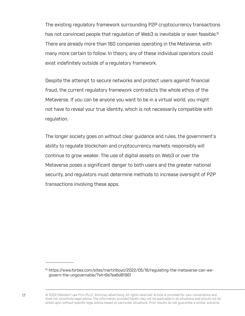The existing regulatory framework surrounding P2P cryptocurrency transactions has not convinced people that regulation of Web3 is inevitable or even feasible. 15 There are already more than 160 companies operating in the Metaverse, with many more certain to follow. In theory, any of these individual operators could exist indefinitely outside of a regulatory framework.

Despite the attempt to secure networks and protect users against financial fraud, the current regulatory framework contradicts the whole ethos of the Metaverse. If you can be anyone you want to be in a virtual world, you might not have to reveal your true identity, which is not necessarily compatible with regulation.

The longer society goes on without clear guidance and rules, the government's ability to regulate blockchain and cryptocurrency markets responsibly will continue to grow weaker. The use of digital assets on Web3 or over the Metaverse poses a significant danger to both users and the greater national security, and regulators must determine methods to increase oversight of P2P transactions involving these apps.

<sup>15</sup> https://www.forbes.com/sites/martinboyd/2022/05/16/regulating-the-metaverse-can-wegovern-the-ungovernable/?sh=6e7ea6d81961

<sup>17</sup> **Draw EXT ATT CONTA CONTA CONTA ATTER IN A VIT A** LIGHT OF 2022 Dilendorf Law Firm PLLC. Attorney advertising. All rights reserved. Article is provided for your convenience and does not constitute legal advice. The information provided herein may not be applicable in all situations and should not be acted upon without specific legal advice based on particular situations. Prior results do not guarantee a similar outcome.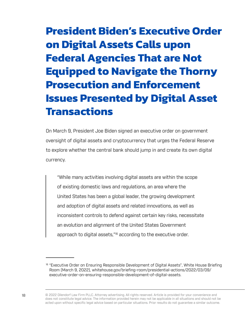# **President Biden's Executive Order on Digital Assets Calls upon Federal Agencies That are Not Equipped to Navigate the Thorny Prosecution and Enforcement Issues Presented by Digital Asset Transactions**

On March 9, President Joe Biden signed an executive order on government oversight of digital assets and cryptocurrency that urges the Federal Reserve to explore whether the central bank should jump in and create its own digital currency.

"While many activities involving digital assets are within the scope of existing domestic laws and regulations, an area where the United States has been a global leader, the growing development and adoption of digital assets and related innovations, as well as inconsistent controls to defend against certain key risks, necessitate an evolution and alignment of the United States Government approach to digital assets,"<sup>16</sup> according to the executive order.

<sup>&</sup>lt;sup>16</sup> "Executive Order on Ensuring Responsible Development of Digital Assets", White House Briefing Room (March 9, 2022), whitehouse.gov/briefing-room/presidential-actions/2022/03/09/ executive-order-on-ensuring-responsible-development-of-digital-assets.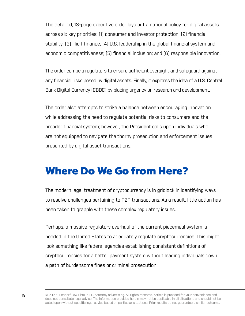<span id="page-20-0"></span>The detailed, 13-page executive order lays out a national policy for digital assets across six key priorities: (1) consumer and investor protection; (2) financial stability; (3) illicit finance; (4) U.S. leadership in the global financial system and economic competitiveness; (5) financial inclusion; and (6) responsible innovation.

The order compels regulators to ensure sufficient oversight and safeguard against any financial risks posed by digital assets. Finally, it explores the idea of a U.S. Central Bank Digital Currency (CBDC) by placing urgency on research and development.

The order also attempts to strike a balance between encouraging innovation while addressing the need to regulate potential risks to consumers and the broader financial system; however, the President calls upon individuals who are not equipped to navigate the thorny prosecution and enforcement issues presented by digital asset transactions.

### **Where Do We Go from Here?**

The modern legal treatment of cryptocurrency is in gridlock in identifying ways to resolve challenges pertaining to P2P transactions. As a result, little action has been taken to grapple with these complex regulatory issues.

Perhaps, a massive regulatory overhaul of the current piecemeal system is needed in the United States to adequately regulate cryptocurrencies. This might look something like federal agencies establishing consistent definitions of cryptocurrencies for a better payment system without leading individuals down a path of burdensome fines or criminal prosecution.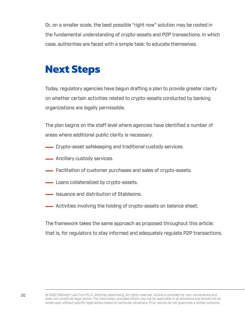<span id="page-21-0"></span>Or, on a smaller scale, the best possible "right now" solution may be rooted in the fundamental understanding of crypto-assets and P2P transactions. In which case, authorities are faced with a simple task: to educate themselves.

### **Next Steps**

Today, regulatory agencies have begun drafting a plan to provide greater clarity on whether certain activities related to crypto-assets conducted by banking organizations are legally permissible.

The plan begins on the staff level where agencies have identified a number of areas where additional public clarity is necessary:

- Crypto-asset safekeeping and traditional custody services.
- **Ancillary custody services.**
- Facilitation of customer purchases and sales of crypto-assets.
- **Loans collateralized by crypto-assets.**
- **ISSUANCE And distribution of Stableoins.**
- Activities involving the holding of crypto-assets on balance sheet.

The framework takes the same approach as proposed throughout this article: that is, for regulators to stay informed and adequately regulate P2P transactions.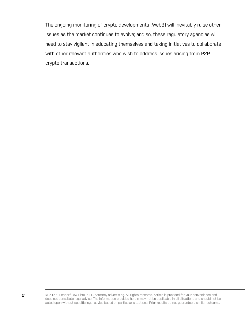The ongoing monitoring of crypto developments (Web3) will inevitably raise other issues as the market continues to evolve; and so, these regulatory agencies will need to stay vigilant in educating themselves and taking initiatives to collaborate with other relevant authorities who wish to address issues arising from P2P crypto transactions.